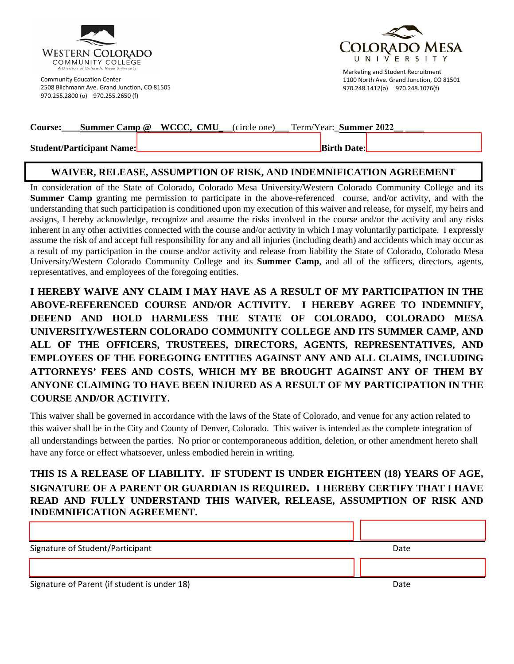

Community Education Center 2508 Blichmann Ave. Grand Junction, CO 81505 970.255.2800 (o) 970.255.2650 (f)



Marketing and Student Recruitment 1100 North Ave. Grand Junction, CO 81501 970.248.1412(o) 970.248.1076(f)

| <b>Course:</b>                   | <b>Summer Camp @ WCCC, CMU</b> (circle one) Term/Year: <b>Summer 2022</b> |                    |
|----------------------------------|---------------------------------------------------------------------------|--------------------|
| <b>Student/Participant Name:</b> |                                                                           | <b>Birth Date:</b> |

## **WAIVER, RELEASE, ASSUMPTION OF RISK, AND INDEMNIFICATION AGREEMENT**

In consideration of the State of Colorado, Colorado Mesa University/Western Colorado Community College and its **Summer Camp** granting me permission to participate in the above-referenced course, and/or activity, and with the understanding that such participation is conditioned upon my execution of this waiver and release, for myself, my heirs and assigns, I hereby acknowledge, recognize and assume the risks involved in the course and/or the activity and any risks inherent in any other activities connected with the course and/or activity in which I may voluntarily participate. I expressly assume the risk of and accept full responsibility for any and all injuries (including death) and accidents which may occur as a result of my participation in the course and/or activity and release from liability the State of Colorado, Colorado Mesa University/Western Colorado Community College and its **Summer Camp**, and all of the officers, directors, agents, representatives, and employees of the foregoing entities.

**I HEREBY WAIVE ANY CLAIM I MAY HAVE AS A RESULT OF MY PARTICIPATION IN THE ABOVE-REFERENCED COURSE AND/OR ACTIVITY. I HEREBY AGREE TO INDEMNIFY, DEFEND AND HOLD HARMLESS THE STATE OF COLORADO, COLORADO MESA UNIVERSITY/WESTERN COLORADO COMMUNITY COLLEGE AND ITS SUMMER CAMP, AND ALL OF THE OFFICERS, TRUSTEEES, DIRECTORS, AGENTS, REPRESENTATIVES, AND EMPLOYEES OF THE FOREGOING ENTITIES AGAINST ANY AND ALL CLAIMS, INCLUDING ATTORNEYS' FEES AND COSTS, WHICH MY BE BROUGHT AGAINST ANY OF THEM BY ANYONE CLAIMING TO HAVE BEEN INJURED AS A RESULT OF MY PARTICIPATION IN THE COURSE AND/OR ACTIVITY.**

This waiver shall be governed in accordance with the laws of the State of Colorado, and venue for any action related to this waiver shall be in the City and County of Denver, Colorado. This waiver is intended as the complete integration of all understandings between the parties. No prior or contemporaneous addition, deletion, or other amendment hereto shall have any force or effect whatsoever, unless embodied herein in writing.

## **THIS IS A RELEASE OF LIABILITY. IF STUDENT IS UNDER EIGHTEEN (18) YEARS OF AGE, SIGNATURE OF A PARENT OR GUARDIAN IS REQUIRED. I HEREBY CERTIFY THAT I HAVE READ AND FULLY UNDERSTAND THIS WAIVER, RELEASE, ASSUMPTION OF RISK AND INDEMNIFICATION AGREEMENT.**

Signature of Student/Participant Date

Signature of Parent (if student is under 18) Date and the study of Parent Control of Parent Control of Parent Control of Parent Control of Parent Control of Parent Control of Parent Control of Parent Control of Parent Cont